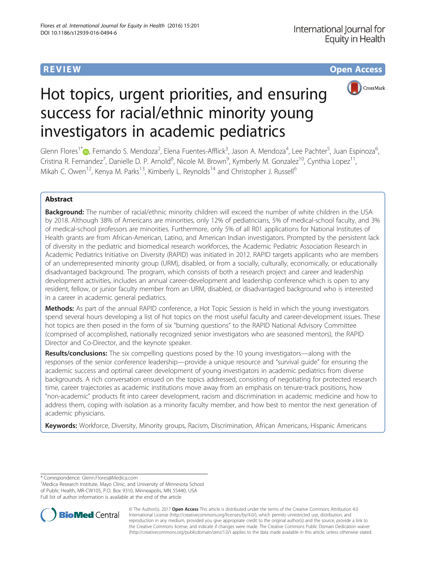**REVIEW CONSTRUCTION CONSTRUCTION CONSTRUCTS** 



# Hot topics, urgent priorities, and ensuring success for racial/ethnic minority young investigators in academic pediatrics

Glenn Flores<sup>1\*</sup>®[,](http://orcid.org/0000-0001-8117-945X) Fernando S. Mendoza<sup>2</sup>, Elena Fuentes-Afflick<sup>3</sup>, Jason A. Mendoza<sup>4</sup>, Lee Pachter<sup>5</sup>, Juan Espinoza<sup>6</sup> י<br>, Cristina R. Fernandez<sup>7</sup>, Danielle D. P. Arnold<sup>8</sup>, Nicole M. Brown<sup>9</sup>, Kymberly M. Gonzalez<sup>10</sup>, Cynthia Lopez<sup>11</sup>, Mikah C. Owen<sup>12</sup>, Kenya M. Parks<sup>13</sup>, Kimberly L. Reynolds<sup>14</sup> and Christopher J. Russell<sup>6</sup>

## Abstract

Background: The number of racial/ethnic minority children will exceed the number of white children in the USA by 2018. Although 38% of Americans are minorities, only 12% of pediatricians, 5% of medical-school faculty, and 3% of medical-school professors are minorities. Furthermore, only 5% of all R01 applications for National Institutes of Health grants are from African-American, Latino, and American Indian investigators. Prompted by the persistent lack of diversity in the pediatric and biomedical research workforces, the Academic Pediatric Association Research in Academic Pediatrics Initiative on Diversity (RAPID) was initiated in 2012. RAPID targets applicants who are members of an underrepresented minority group (URM), disabled, or from a socially, culturally, economically, or educationally disadvantaged background. The program, which consists of both a research project and career and leadership development activities, includes an annual career-development and leadership conference which is open to any resident, fellow, or junior faculty member from an URM, disabled, or disadvantaged background who is interested in a career in academic general pediatrics.

Methods: As part of the annual RAPID conference, a Hot Topic Session is held in which the young investigators spend several hours developing a list of hot topics on the most useful faculty and career-development issues. These hot topics are then posed in the form of six "burning questions" to the RAPID National Advisory Committee (comprised of accomplished, nationally recognized senior investigators who are seasoned mentors), the RAPID Director and Co-Director, and the keynote speaker.

Results/conclusions: The six compelling questions posed by the 10 young investigators—along with the responses of the senior conference leadership—provide a unique resource and "survival guide" for ensuring the academic success and optimal career development of young investigators in academic pediatrics from diverse backgrounds. A rich conversation ensued on the topics addressed, consisting of negotiating for protected research time, career trajectories as academic institutions move away from an emphasis on tenure-track positions, how "non-academic" products fit into career development, racism and discrimination in academic medicine and how to address them, coping with isolation as a minority faculty member, and how best to mentor the next generation of academic physicians.

Keywords: Workforce, Diversity, Minority groups, Racism, Discrimination, African Americans, Hispanic Americans

\* Correspondence: [Glenn.Flores@Medica.com](mailto:Glenn.Flores@Medica.com) <sup>1</sup>

<sup>&</sup>lt;sup>1</sup>Medica Research Institute, Mayo Clinic, and University of Minnesota School of Public Health, MR-CW105, P.O. Box 9310, Minneapolis, MN 55440, USA Full list of author information is available at the end of the article



© The Author(s). 2017 **Open Access** This article is distributed under the terms of the Creative Commons Attribution 4.0 International License [\(http://creativecommons.org/licenses/by/4.0/](http://creativecommons.org/licenses/by/4.0/)), which permits unrestricted use, distribution, and reproduction in any medium, provided you give appropriate credit to the original author(s) and the source, provide a link to the Creative Commons license, and indicate if changes were made. The Creative Commons Public Domain Dedication waiver [\(http://creativecommons.org/publicdomain/zero/1.0/](http://creativecommons.org/publicdomain/zero/1.0/)) applies to the data made available in this article, unless otherwise stated.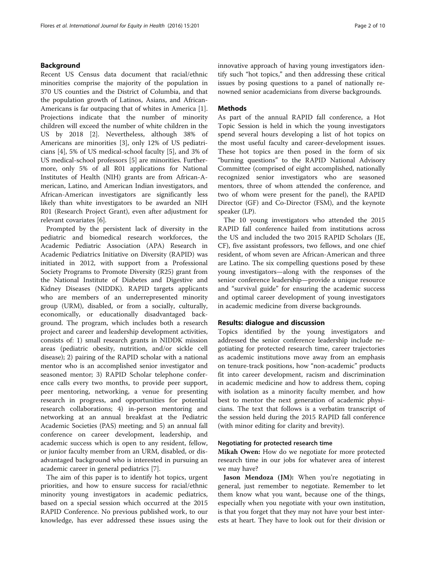## Background

Recent US Census data document that racial/ethnic minorities comprise the majority of the population in 370 US counties and the District of Columbia, and that the population growth of Latinos, Asians, and African-Americans is far outpacing that of whites in America [\[1](#page-9-0)]. Projections indicate that the number of minority children will exceed the number of white children in the US by 2018 [[2\]](#page-9-0). Nevertheless, although 38% of Americans are minorities [\[3](#page-9-0)], only 12% of US pediatricians [[4](#page-9-0)], 5% of US medical-school faculty [\[5](#page-9-0)], and 3% of US medical-school professors [[5\]](#page-9-0) are minorities. Furthermore, only 5% of all R01 applications for National Institutes of Health (NIH) grants are from African-American, Latino, and American Indian investigators, and African-American investigators are significantly less likely than white investigators to be awarded an NIH R01 (Research Project Grant), even after adjustment for relevant covariates [[6\]](#page-9-0).

Prompted by the persistent lack of diversity in the pediatric and biomedical research workforces, the Academic Pediatric Association (APA) Research in Academic Pediatrics Initiative on Diversity (RAPID) was initiated in 2012, with support from a Professional Society Programs to Promote Diversity (R25) grant from the National Institute of Diabetes and Digestive and Kidney Diseases (NIDDK). RAPID targets applicants who are members of an underrepresented minority group (URM), disabled, or from a socially, culturally, economically, or educationally disadvantaged background. The program, which includes both a research project and career and leadership development activities, consists of: 1) small research grants in NIDDK mission areas (pediatric obesity, nutrition, and/or sickle cell disease); 2) pairing of the RAPID scholar with a national mentor who is an accomplished senior investigator and seasoned mentor; 3) RAPID Scholar telephone conference calls every two months, to provide peer support, peer mentoring, networking, a venue for presenting research in progress, and opportunities for potential research collaborations; 4) in-person mentoring and networking at an annual breakfast at the Pediatric Academic Societies (PAS) meeting; and 5) an annual fall conference on career development, leadership, and academic success which is open to any resident, fellow, or junior faculty member from an URM, disabled, or disadvantaged background who is interested in pursuing an academic career in general pediatrics [\[7](#page-9-0)].

The aim of this paper is to identify hot topics, urgent priorities, and how to ensure success for racial/ethnic minority young investigators in academic pediatrics, based on a special session which occurred at the 2015 RAPID Conference. No previous published work, to our knowledge, has ever addressed these issues using the innovative approach of having young investigators identify such "hot topics," and then addressing these critical issues by posing questions to a panel of nationally renowned senior academicians from diverse backgrounds.

## Methods

As part of the annual RAPID fall conference, a Hot Topic Session is held in which the young investigators spend several hours developing a list of hot topics on the most useful faculty and career-development issues. These hot topics are then posed in the form of six "burning questions" to the RAPID National Advisory Committee (comprised of eight accomplished, nationally recognized senior investigators who are seasoned mentors, three of whom attended the conference, and two of whom were present for the panel), the RAPID Director (GF) and Co-Director (FSM), and the keynote speaker (LP).

The 10 young investigators who attended the 2015 RAPID fall conference hailed from institutions across the US and included the two 2015 RAPID Scholars (JE, CF), five assistant professors, two fellows, and one chief resident, of whom seven are African-American and three are Latino. The six compelling questions posed by these young investigators—along with the responses of the senior conference leadership—provide a unique resource and "survival guide" for ensuring the academic success and optimal career development of young investigators in academic medicine from diverse backgrounds.

## Results: dialogue and discussion

Topics identified by the young investigators and addressed the senior conference leadership include negotiating for protected research time, career trajectories as academic institutions move away from an emphasis on tenure-track positions, how "non-academic" products fit into career development, racism and discrimination in academic medicine and how to address them, coping with isolation as a minority faculty member, and how best to mentor the next generation of academic physicians. The text that follows is a verbatim transcript of the session held during the 2015 RAPID fall conference (with minor editing for clarity and brevity).

#### Negotiating for protected research time

Mikah Owen: How do we negotiate for more protected research time in our jobs for whatever area of interest we may have?

Jason Mendoza (JM): When you're negotiating in general, just remember to negotiate. Remember to let them know what you want, because one of the things, especially when you negotiate with your own institution, is that you forget that they may not have your best interests at heart. They have to look out for their division or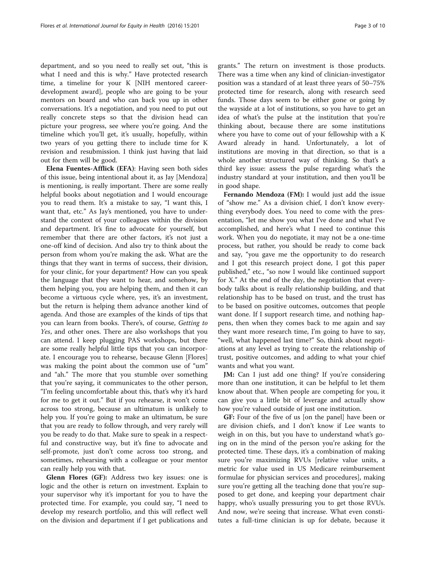department, and so you need to really set out, "this is what I need and this is why." Have protected research time, a timeline for your K [NIH mentored careerdevelopment award], people who are going to be your mentors on board and who can back you up in other conversations. It's a negotiation, and you need to put out really concrete steps so that the division head can picture your progress, see where you're going. And the timeline which you'll get, it's usually, hopefully, within two years of you getting there to include time for K revision and resubmission. I think just having that laid out for them will be good.

Elena Fuentes-Afflick (EFA): Having seen both sides of this issue, being intentional about it, as Jay [Mendoza] is mentioning, is really important. There are some really helpful books about negotiation and I would encourage you to read them. It's a mistake to say, "I want this, I want that, etc." As Jay's mentioned, you have to understand the context of your colleagues within the division and department. It's fine to advocate for yourself, but remember that there are other factors, it's not just a one-off kind of decision. And also try to think about the person from whom you're making the ask. What are the things that they want in terms of success, their division, for your clinic, for your department? How can you speak the language that they want to hear, and somehow, by them helping you, you are helping them, and then it can become a virtuous cycle where, yes, it's an investment, but the return is helping them advance another kind of agenda. And those are examples of the kinds of tips that you can learn from books. There's, of course, Getting to Yes, and other ones. There are also workshops that you can attend. I keep plugging PAS workshops, but there are some really helpful little tips that you can incorporate. I encourage you to rehearse, because Glenn [Flores] was making the point about the common use of "um" and "ah." The more that you stumble over something that you're saying, it communicates to the other person, "I'm feeling uncomfortable about this, that's why it's hard for me to get it out." But if you rehearse, it won't come across too strong, because an ultimatum is unlikely to help you. If you're going to make an ultimatum, be sure that you are ready to follow through, and very rarely will you be ready to do that. Make sure to speak in a respectful and constructive way, but it's fine to advocate and self-promote, just don't come across too strong, and sometimes, rehearsing with a colleague or your mentor can really help you with that.

Glenn Flores (GF): Address two key issues: one is logic and the other is return on investment. Explain to your supervisor why it's important for you to have the protected time. For example, you could say, "I need to develop my research portfolio, and this will reflect well on the division and department if I get publications and grants." The return on investment is those products. There was a time when any kind of clinician-investigator position was a standard of at least three years of 50–75% protected time for research, along with research seed funds. Those days seem to be either gone or going by the wayside at a lot of institutions, so you have to get an idea of what's the pulse at the institution that you're thinking about, because there are some institutions where you have to come out of your fellowship with a K Award already in hand. Unfortunately, a lot of institutions are moving in that direction, so that is a whole another structured way of thinking. So that's a third key issue: assess the pulse regarding what's the industry standard at your institution, and then you'll be in good shape.

Fernando Mendoza (FM): I would just add the issue of "show me." As a division chief, I don't know everything everybody does. You need to come with the presentation, "let me show you what I've done and what I've accomplished, and here's what I need to continue this work. When you do negotiate, it may not be a one-time process, but rather, you should be ready to come back and say, "you gave me the opportunity to do research and I got this research project done, I got this paper published," etc., "so now I would like continued support for X." At the end of the day, the negotiation that everybody talks about is really relationship building, and that relationship has to be based on trust, and the trust has to be based on positive outcomes, outcomes that people want done. If I support research time, and nothing happens, then when they comes back to me again and say they want more research time, I'm going to have to say, "well, what happened last time?" So, think about negotiations at any level as trying to create the relationship of trust, positive outcomes, and adding to what your chief wants and what you want.

JM: Can I just add one thing? If you're considering more than one institution, it can be helpful to let them know about that. When people are competing for you, it can give you a little bit of leverage and actually show how you're valued outside of just one institution.

GF: Four of the five of us [on the panel] have been or are division chiefs, and I don't know if Lee wants to weigh in on this, but you have to understand what's going on in the mind of the person you're asking for the protected time. These days, it's a combination of making sure you're maximizing RVUs [relative value units, a metric for value used in US Medicare reimbursement formulae for physician services and procedures], making sure you're getting all the teaching done that you're supposed to get done, and keeping your department chair happy, who's usually pressuring you to get those RVUs. And now, we're seeing that increase. What even constitutes a full-time clinician is up for debate, because it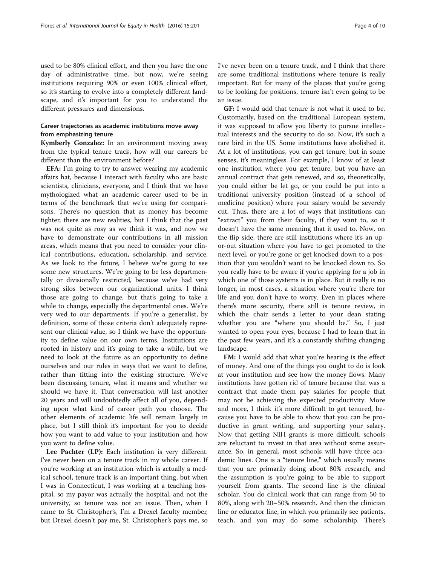used to be 80% clinical effort, and then you have the one day of administrative time, but now, we're seeing institutions requiring 90% or even 100% clinical effort, so it's starting to evolve into a completely different landscape, and it's important for you to understand the different pressures and dimensions.

## Career trajectories as academic institutions move away from emphasizing tenure

Kymberly Gonzalez: In an environment moving away from the typical tenure track, how will our careers be different than the environment before?

EFA: I'm going to try to answer wearing my academic affairs hat, because I interact with faculty who are basic scientists, clinicians, everyone, and I think that we have mythologized what an academic career used to be in terms of the benchmark that we're using for comparisons. There's no question that as money has become tighter, there are new realities, but I think that the past was not quite as rosy as we think it was, and now we have to demonstrate our contributions in all mission areas, which means that you need to consider your clinical contributions, education, scholarship, and service. As we look to the future, I believe we're going to see some new structures. We're going to be less departmentally or divisionally restricted, because we've had very strong silos between our organizational units. I think those are going to change, but that's going to take a while to change, especially the departmental ones. We're very wed to our departments. If you're a generalist, by definition, some of those criteria don't adequately represent our clinical value, so I think we have the opportunity to define value on our own terms. Institutions are rooted in history and it's going to take a while, but we need to look at the future as an opportunity to define ourselves and our rules in ways that we want to define, rather than fitting into the existing structure. We've been discussing tenure, what it means and whether we should we have it. That conversation will last another 20 years and will undoubtedly affect all of you, depending upon what kind of career path you choose. The other elements of academic life will remain largely in place, but I still think it's important for you to decide how you want to add value to your institution and how you want to define value.

Lee Pachter (LP): Each institution is very different. I've never been on a tenure track in my whole career. If you're working at an institution which is actually a medical school, tenure track is an important thing, but when I was in Connecticut, I was working at a teaching hospital, so my payor was actually the hospital, and not the university, so tenure was not an issue. Then, when I came to St. Christopher's, I'm a Drexel faculty member, but Drexel doesn't pay me, St. Christopher's pays me, so I've never been on a tenure track, and I think that there are some traditional institutions where tenure is really important. But for many of the places that you're going to be looking for positions, tenure isn't even going to be an issue.

GF: I would add that tenure is not what it used to be. Customarily, based on the traditional European system, it was supposed to allow you liberty to pursue intellectual interests and the security to do so. Now, it's such a rare bird in the US. Some institutions have abolished it. At a lot of institutions, you can get tenure, but in some senses, it's meaningless. For example, I know of at least one institution where you get tenure, but you have an annual contract that gets renewed, and so, theoretically, you could either be let go, or you could be put into a traditional university position (instead of a school of medicine position) where your salary would be severely cut. Thus, there are a lot of ways that institutions can "extract" you from their faculty, if they want to, so it doesn't have the same meaning that it used to. Now, on the flip side, there are still institutions where it's an upor-out situation where you have to get promoted to the next level, or you're gone or get knocked down to a position that you wouldn't want to be knocked down to. So you really have to be aware if you're applying for a job in which one of those systems is in place. But it really is no longer, in most cases, a situation where you're there for life and you don't have to worry. Even in places where there's more security, there still is tenure review, in which the chair sends a letter to your dean stating whether you are "where you should be." So, I just wanted to open your eyes, because I had to learn that in the past few years, and it's a constantly shifting changing landscape.

FM: I would add that what you're hearing is the effect of money. And one of the things you ought to do is look at your institution and see how the money flows. Many institutions have gotten rid of tenure because that was a contract that made them pay salaries for people that may not be achieving the expected productivity. More and more, I think it's more difficult to get tenured, because you have to be able to show that you can be productive in grant writing, and supporting your salary. Now that getting NIH grants is more difficult, schools are reluctant to invest in that area without some assurance. So, in general, most schools will have three academic lines. One is a "tenure line," which usually means that you are primarily doing about 80% research, and the assumption is you're going to be able to support yourself from grants. The second line is the clinical scholar. You do clinical work that can range from 50 to 80%, along with 20–50% research. And then the clinician line or educator line, in which you primarily see patients, teach, and you may do some scholarship. There's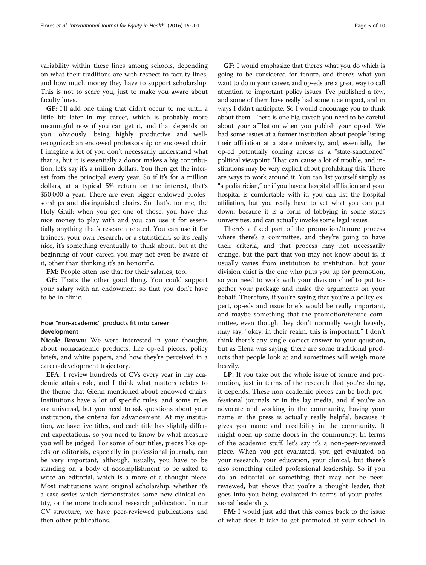variability within these lines among schools, depending on what their traditions are with respect to faculty lines, and how much money they have to support scholarship. This is not to scare you, just to make you aware about faculty lines.

GF: I'll add one thing that didn't occur to me until a little bit later in my career, which is probably more meaningful now if you can get it, and that depends on you, obviously, being highly productive and wellrecognized: an endowed professorship or endowed chair. I imagine a lot of you don't necessarily understand what that is, but it is essentially a donor makes a big contribution, let's say it's a million dollars. You then get the interest from the principal every year. So if it's for a million dollars, at a typical 5% return on the interest, that's \$50,000 a year. There are even bigger endowed professorships and distinguished chairs. So that's, for me, the Holy Grail: when you get one of those, you have this nice money to play with and you can use it for essentially anything that's research related. You can use it for trainees, your own research, or a statistician, so it's really nice, it's something eventually to think about, but at the beginning of your career, you may not even be aware of it, other than thinking it's an honorific.

FM: People often use that for their salaries, too.

GF: That's the other good thing. You could support your salary with an endowment so that you don't have to be in clinic.

## How "non-academic" products fit into career development

Nicole Brown: We were interested in your thoughts about nonacademic products, like op-ed pieces, policy briefs, and white papers, and how they're perceived in a career-development trajectory.

EFA: I review hundreds of CVs every year in my academic affairs role, and I think what matters relates to the theme that Glenn mentioned about endowed chairs. Institutions have a lot of specific rules, and some rules are universal, but you need to ask questions about your institution, the criteria for advancement. At my institution, we have five titles, and each title has slightly different expectations, so you need to know by what measure you will be judged. For some of our titles, pieces like opeds or editorials, especially in professional journals, can be very important, although, usually, you have to be standing on a body of accomplishment to be asked to write an editorial, which is a more of a thought piece. Most institutions want original scholarship, whether it's a case series which demonstrates some new clinical entity, or the more traditional research publication. In our CV structure, we have peer-reviewed publications and then other publications.

GF: I would emphasize that there's what you do which is going to be considered for tenure, and there's what you want to do in your career, and op-eds are a great way to call attention to important policy issues. I've published a few, and some of them have really had some nice impact, and in ways I didn't anticipate. So I would encourage you to think about them. There is one big caveat: you need to be careful about your affiliation when you publish your op-ed. We had some issues at a former institution about people listing their affiliation at a state university, and, essentially, the op-ed potentially coming across as a "state-sanctioned" political viewpoint. That can cause a lot of trouble, and institutions may be very explicit about prohibiting this. There are ways to work around it. You can list yourself simply as "a pediatrician," or if you have a hospital affiliation and your hospital is comfortable with it, you can list the hospital affiliation, but you really have to vet what you can put down, because it is a form of lobbying in some states universities, and can actually invoke some legal issues.

There's a fixed part of the promotion/tenure process where there's a committee, and they're going to have their criteria, and that process may not necessarily change, but the part that you may not know about is, it usually varies from institution to institution, but your division chief is the one who puts you up for promotion, so you need to work with your division chief to put together your package and make the arguments on your behalf. Therefore, if you're saying that you're a policy expert, op-eds and issue briefs would be really important, and maybe something that the promotion/tenure committee, even though they don't normally weigh heavily, may say, "okay, in their realm, this is important." I don't think there's any single correct answer to your qeustion, but as Elena was saying, there are some traditional products that people look at and sometimes will weigh more heavily.

LP: If you take out the whole issue of tenure and promotion, just in terms of the research that you're doing, it depends. These non-academic pieces can be both professional journals or in the lay media, and if you're an advocate and working in the community, having your name in the press is actually really helpful, because it gives you name and credibility in the community. It might open up some doors in the community. In terms of the academic stuff, let's say it's a non-peer-reviewed piece. When you get evaluated, you get evaluated on your research, your education, your clinical, but there's also something called professional leadership. So if you do an editorial or something that may not be peerreviewed, but shows that you're a thought leader, that goes into you being evaluated in terms of your professional leadership.

FM: I would just add that this comes back to the issue of what does it take to get promoted at your school in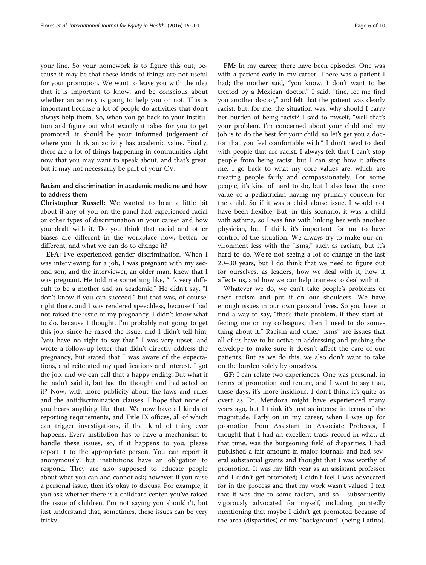your line. So your homework is to figure this out, because it may be that these kinds of things are not useful for your promotion. We want to leave you with the idea that it is important to know, and be conscious about whether an activity is going to help you or not. This is important because a lot of people do activities that don't always help them. So, when you go back to your institution and figure out what exactly it takes for you to get promoted, it should be your informed judgement of where you think an activity has academic value. Finally, there are a lot of things happening in communities right now that you may want to speak about, and that's great, but it may not necessarily be part of your CV.

## Racism and discrimination in academic medicine and how to address them

Christopher Russell: We wanted to hear a little bit about if any of you on the panel had experienced racial or other types of discrimination in your career and how you dealt with it. Do you think that racial and other biases are different in the workplace now, better, or different, and what we can do to change it?

EFA: I've experienced gender discrimination. When I was interviewing for a job, I was pregnant with my second son, and the interviewer, an older man, knew that I was pregnant. He told me something like, "it's very difficult to be a mother and an academic." He didn't say, "I don't know if you can succeed," but that was, of course, right there, and I was rendered speechless, because I had not raised the issue of my pregnancy. I didn't know what to do, because I thought, I'm probably not going to get this job, since he raised the issue, and I didn't tell him, "you have no right to say that." I was very upset, and wrote a follow-up letter that didn't directly address the pregnancy, but stated that I was aware of the expectations, and reiterated my qualifications and interest. I got the job, and we can call that a happy ending. But what if he hadn't said it, but had the thought and had acted on it? Now, with more publicity about the laws and rules and the antidiscrimination clauses, I hope that none of you hears anything like that. We now have all kinds of reporting requirements, and Title IX offices, all of which can trigger investigations, if that kind of thing ever happens. Every institution has to have a mechanism to handle these issues, so, if it happens to you, please report it to the appropriate person. You can report it anonymously, but institutions have an obligation to respond. They are also supposed to educate people about what you can and cannot ask; however, if you raise a personal issue, then it's okay to discuss. For example, if you ask whether there is a childcare center, you've raised the issue of children. I'm not saying you shouldn't, but just understand that, sometimes, these issues can be very tricky.

FM: In my career, there have been episodes. One was with a patient early in my career. There was a patient I had; the mother said, "you know, I don't want to be treated by a Mexican doctor." I said, "fine, let me find you another doctor," and felt that the patient was clearly racist, but, for me, the situation was, why should I carry her burden of being racist? I said to myself, "well that's your problem. I'm concerned about your child and my job is to do the best for your child, so let's get you a doctor that you feel comfortable with." I don't need to deal with people that are racist. I always felt that I can't stop people from being racist, but I can stop how it affects me. I go back to what my core values are, which are treating people fairly and compassionately. For some people, it's kind of hard to do, but I also have the core value of a pediatrician having my primary concern for the child. So if it was a child abuse issue, I would not have been flexible, But, in this scenario, it was a child with asthma, so I was fine with linking her with another physician, but I think it's important for me to have control of the situation. We always try to make our environment less with the "isms," such as racism, but it's hard to do. We're not seeing a lot of change in the last 20–30 years, but I do think that we need to figure out for ourselves, as leaders, how we deal with it, how it affects us, and how we can help trainees to deal with it.

Whatever we do, we can't take people's problems or their racism and put it on our shoulders. We have enough issues in our own personal lives. So you have to find a way to say, "that's their problem, if they start affecting me or my colleagues, then I need to do something about it." Racism and other "isms" are issues that all of us have to be active in addressing and pushing the envelope to make sure it doesn't affect the care of our patients. But as we do this, we also don't want to take on the burden solely by ourselves.

GF: I can relate two experiences. One was personal, in terms of promotion and tenure, and I want to say that, these days, it's more insidious. I don't think it's quite as overt as Dr. Mendoza might have experienced many years ago, but I think it's just as intense in terms of the magnitude. Early on in my career, when I was up for promotion from Assistant to Associate Professor, I thought that I had an excellent track record in what, at that time, was the burgeoning field of disparities. I had published a fair amount in major journals and had several substantial grants and thought that I was worthy of promotion. It was my fifth year as an assistant professor and I didn't get promoted; I didn't feel I was advocated for in the process and that my work wasn't valued. I felt that it was due to some racism, and so I subsequently vigorously advocated for myself, including pointedly mentioning that maybe I didn't get promoted because of the area (disparities) or my "background" (being Latino).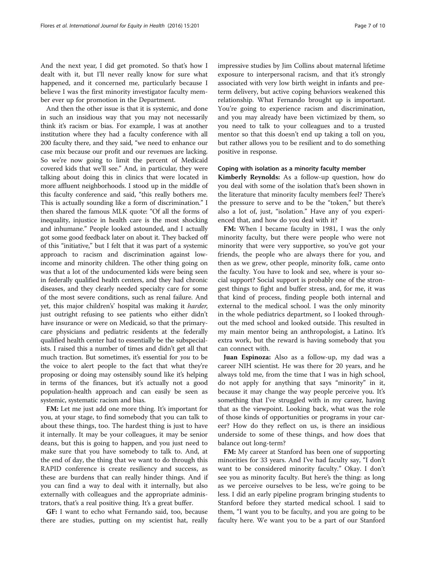And the next year, I did get promoted. So that's how I dealt with it, but I'll never really know for sure what happened, and it concerned me, particularly because I believe I was the first minority investigator faculty member ever up for promotion in the Department.

And then the other issue is that it is systemic, and done in such an insidious way that you may not necessarily think it's racism or bias. For example, I was at another institution where they had a faculty conference with all 200 faculty there, and they said, "we need to enhance our case mix because our profit and our revenues are lacking. So we're now going to limit the percent of Medicaid covered kids that we'll see." And, in particular, they were talking about doing this in clinics that were located in more affluent neighborhoods. I stood up in the middle of this faculty conference and said, "this really bothers me. This is actually sounding like a form of discrimination." I then shared the famous MLK quote: "Of all the forms of inequality, injustice in health care is the most shocking and inhumane." People looked astounded, and I actually got some good feedback later on about it. They backed off of this "initiative," but I felt that it was part of a systemic approach to racism and discrimination against lowincome and minority children. The other thing going on was that a lot of the undocumented kids were being seen in federally qualified health centers, and they had chronic diseases, and they clearly needed specialty care for some of the most severe conditions, such as renal failure. And yet, this major children's' hospital was making it harder, just outright refusing to see patients who either didn't have insurance or were on Medicaid, so that the primarycare physicians and pediatric residents at the federally qualified health center had to essentially be the subspecialists. I raised this a number of times and didn't get all that much traction. But sometimes, it's essential for you to be the voice to alert people to the fact that what they're proposing or doing may ostensibly sound like it's helping in terms of the finances, but it's actually not a good population-health approach and can easily be seen as systemic, systematic racism and bias.

FM: Let me just add one more thing. It's important for you, at your stage, to find somebody that you can talk to about these things, too. The hardest thing is just to have it internally. It may be your colleagues, it may be senior deans, but this is going to happen, and you just need to make sure that you have somebody to talk to. And, at the end of day, the thing that we want to do through this RAPID conference is create resiliency and success, as these are burdens that can really hinder things. And if you can find a way to deal with it internally, but also externally with colleagues and the appropriate administrators, that's a real positive thing. It's a great buffer.

GF: I want to echo what Fernando said, too, because there are studies, putting on my scientist hat, really impressive studies by Jim Collins about maternal lifetime exposure to interpersonal racism, and that it's strongly associated with very low birth weight in infants and preterm delivery, but active coping behaviors weakened this relationship. What Fernando brought up is important. You're going to experience racism and discrimination, and you may already have been victimized by them, so you need to talk to your colleagues and to a trusted mentor so that this doesn't end up taking a toll on you, but rather allows you to be resilient and to do something positive in response.

## Coping with isolation as a minority faculty member

Kimberly Reynolds: As a follow-up question, how do you deal with some of the isolation that's been shown in the literature that minority faculty members feel? There's the pressure to serve and to be the "token," but there's also a lot of, just, "isolation." Have any of you experienced that, and how do you deal with it?

FM: When I became faculty in 1981, I was the only minority faculty, but there were people who were not minority that were very supportive, so you've got your friends, the people who are always there for you, and then as we grew, other people, minority folk, came onto the faculty. You have to look and see, where is your social support? Social support is probably one of the strongest things to fight and buffer stress, and, for me, it was that kind of process, finding people both internal and external to the medical school. I was the only minority in the whole pediatrics department, so I looked throughout the med school and looked outside. This resulted in my main mentor being an anthropologist, a Latino. It's extra work, but the reward is having somebody that you can connect with.

Juan Espinoza: Also as a follow-up, my dad was a career NIH scientist. He was there for 20 years, and he always told me, from the time that I was in high school, do not apply for anything that says "minority" in it, because it may change the way people perceive you. It's something that I've struggled with in my career, having that as the viewpoint. Looking back, what was the role of those kinds of opportunities or programs in your career? How do they reflect on us, is there an insidious underside to some of these things, and how does that balance out long-term?

FM: My career at Stanford has been one of supporting minorities for 33 years. And I've had faculty say, "I don't want to be considered minority faculty." Okay. I don't see you as minority faculty. But here's the thing: as long as we perceive ourselves to be less, we're going to be less. I did an early pipeline program bringing students to Stanford before they started medical school. I said to them, "I want you to be faculty, and you are going to be faculty here. We want you to be a part of our Stanford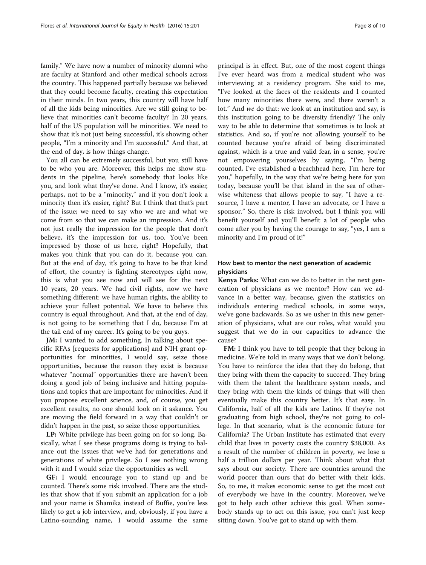family." We have now a number of minority alumni who are faculty at Stanford and other medical schools across the country. This happened partially because we believed that they could become faculty, creating this expectation in their minds. In two years, this country will have half of all the kids being minorities. Are we still going to believe that minorities can't become faculty? In 20 years, half of the US population will be minorities. We need to show that it's not just being successful, it's showing other people, "I'm a minority and I'm successful." And that, at the end of day, is how things change.

You all can be extremely successful, but you still have to be who you are. Moreover, this helps me show students in the pipeline, here's somebody that looks like you, and look what they've done. And I know, it's easier, perhaps, not to be a "minority," and if you don't look a minority then it's easier, right? But I think that that's part of the issue; we need to say who we are and what we come from so that we can make an impression. And it's not just really the impression for the people that don't believe, it's the impression for us, too. You've been impressed by those of us here, right? Hopefully, that makes you think that you can do it, because you can. But at the end of day, it's going to have to be that kind of effort, the country is fighting stereotypes right now, this is what you see now and will see for the next 10 years, 20 years. We had civil rights, now we have something different: we have human rights, the ability to achieve your fullest potential. We have to believe this country is equal throughout. And that, at the end of day, is not going to be something that I do, because I'm at the tail end of my career. It's going to be you guys.

JM: I wanted to add something. In talking about specific RFAs [requests for applications] and NIH grant opportunities for minorities, I would say, seize those opportunities, because the reason they exist is because whatever "normal" opportunities there are haven't been doing a good job of being inclusive and hitting populations and topics that are important for minorities. And if you propose excellent science, and, of course, you get excellent results, no one should look on it askance. You are moving the field forward in a way that couldn't or didn't happen in the past, so seize those opportunities.

LP: White privilege has been going on for so long. Basically, what I see these programs doing is trying to balance out the issues that we've had for generations and generations of white privilege. So I see nothing wrong with it and I would seize the opportunities as well.

GF: I would encourage you to stand up and be counted. There's some risk involved. There are the studies that show that if you submit an application for a job and your name is Shamika instead of Buffie, you're less likely to get a job interview, and, obviously, if you have a Latino-sounding name, I would assume the same principal is in effect. But, one of the most cogent things I've ever heard was from a medical student who was interviewing at a residency program. She said to me, "I've looked at the faces of the residents and I counted how many minorities there were, and there weren't a lot." And we do that: we look at an institution and say, is this institution going to be diversity friendly? The only way to be able to determine that sometimes is to look at statistics. And so, if you're not allowing yourself to be counted because you're afraid of being discriminated against, which is a true and valid fear, in a sense, you're not empowering yourselves by saying, "I'm being counted, I've established a beachhead here, I'm here for you," hopefully, in the way that we're being here for you today, because you'll be that island in the sea of otherwise whiteness that allows people to say, "I have a resource, I have a mentor, I have an advocate, or I have a sponsor." So, there is risk involved, but I think you will benefit yourself and you'll benefit a lot of people who come after you by having the courage to say, "yes, I am a minority and I'm proud of it!"

## How best to mentor the next generation of academic physicians

Kenya Parks: What can we do to better in the next generation of physicians as we mentor? How can we advance in a better way, because, given the statistics on individuals entering medical schools, in some ways, we've gone backwards. So as we usher in this new generation of physicians, what are our roles, what would you suggest that we do in our capacities to advance the cause?

FM: I think you have to tell people that they belong in medicine. We're told in many ways that we don't belong. You have to reinforce the idea that they do belong, that they bring with them the capacity to succeed. They bring with them the talent the healthcare system needs, and they bring with them the kinds of things that will then eventually make this country better. It's that easy. In California, half of all the kids are Latino. If they're not graduating from high school, they're not going to college. In that scenario, what is the economic future for California? The Urban Institute has estimated that every child that lives in poverty costs the country \$38,000. As a result of the number of children in poverty, we lose a half a trillion dollars per year. Think about what that says about our society. There are countries around the world poorer than ours that do better with their kids. So, to me, it makes economic sense to get the most out of everybody we have in the country. Moreover, we've got to help each other achieve this goal. When somebody stands up to act on this issue, you can't just keep sitting down. You've got to stand up with them.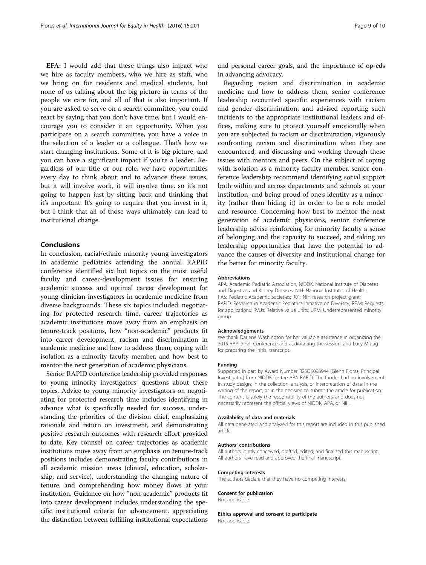EFA: I would add that these things also impact who we hire as faculty members, who we hire as staff, who we bring on for residents and medical students, but none of us talking about the big picture in terms of the people we care for, and all of that is also important. If you are asked to serve on a search committee, you could react by saying that you don't have time, but I would encourage you to consider it an opportunity. When you participate on a search committee, you have a voice in the selection of a leader or a colleague. That's how we start changing institutions. Some of it is big picture, and you can have a significant impact if you're a leader. Regardless of our title or our role, we have opportunities every day to think about and to advance these issues, but it will involve work, it will involve time, so it's not going to happen just by sitting back and thinking that it's important. It's going to require that you invest in it, but I think that all of those ways ultimately can lead to institutional change.

## Conclusions

In conclusion, racial/ethnic minority young investigators in academic pediatrics attending the annual RAPID conference identified six hot topics on the most useful faculty and career-development issues for ensuring academic success and optimal career development for young clinician-investigators in academic medicine from diverse backgrounds. These six topics included: negotiating for protected research time, career trajectories as academic institutions move away from an emphasis on tenure-track positions, how "non-academic" products fit into career development, racism and discrimination in academic medicine and how to address them, coping with isolation as a minority faculty member, and how best to mentor the next generation of academic physicians.

Senior RAPID conference leadership provided responses to young minority investigators' questions about these topics. Advice to young minority investigators on negotiating for protected research time includes identifying in advance what is specifically needed for success, understanding the priorities of the division chief, emphasizing rationale and return on investment, and demonstrating positive research outcomes with research effort provided to date. Key counsel on career trajectories as academic institutions move away from an emphasis on tenure-track positions includes demonstrating faculty contributions in all academic mission areas (clinical, education, scholarship, and service), understanding the changing nature of tenure, and comprehending how money flows at your institution. Guidance on how "non-academic" products fit into career development includes understanding the specific institutional criteria for advancement, appreciating the distinction between fulfilling institutional expectations

and personal career goals, and the importance of op-eds in advancing advocacy.

Regarding racism and discrimination in academic medicine and how to address them, senior conference leadership recounted specific experiences with racism and gender discrimination, and advised reporting such incidents to the appropriate institutional leaders and offices, making sure to protect yourself emotionally when you are subjected to racism or discrimination, vigorously confronting racism and discrimination when they are encountered, and discussing and working through these issues with mentors and peers. On the subject of coping with isolation as a minority faculty member, senior conference leadership recommend identifying social support both within and across departments and schools at your institution, and being proud of one's identity as a minority (rather than hiding it) in order to be a role model and resource. Concerning how best to mentor the next generation of academic physicians, senior conference leadership advise reinforcing for minority faculty a sense of belonging and the capacity to succeed, and taking on leadership opportunities that have the potential to advance the causes of diversity and institutional change for the better for minority faculty.

#### Abbreviations

APA: Academic Pediatric Association; NIDDK: National Institute of Diabetes and Digestive and Kidney Diseases; NIH: National Institutes of Health; PAS: Pediatric Academic Societies; R01: NIH research project grant; RAPID: Research in Academic Pediatrics Initiative on Diversity; RFAs: Requests for applications; RVUs: Relative value units; URM: Underrepresented minority group

#### Acknowledgements

We thank Darlene Washington for her valuable assistance in organizing the 2015 RAPID Fall Conference and audiotaping the session, and Lucy Mittag for preparing the initial transcript.

#### Funding

Supported in part by Award Number R25DK096944 (Glenn Flores, Principal Investigator) from NIDDK for the APA RAPID. The funder had no involvement in study design; in the collection, analysis, or interpretation of data; in the writing of the report; or in the decision to submit the article for publication. The content is solely the responsibility of the authors, and does not necessarily represent the official views of NIDDK, APA, or NIH.

#### Availability of data and materials

All data generated and analyzed for this report are included in this published article.

#### Authors' contributions

All authors jointly conceived, drafted, edited, and finalized this manuscript. All authors have read and approved the final manuscript.

#### Competing interests

The authors declare that they have no competing interests.

#### Consent for publication

Not applicable.

## Ethics approval and consent to participate

Not applicable.